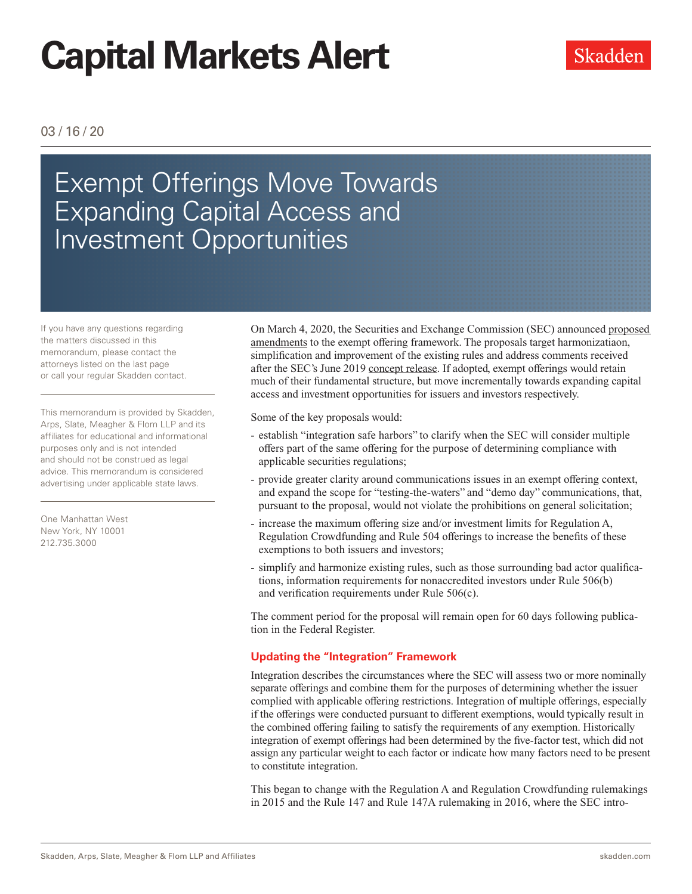# **Capital Markets Alert**

#### 03 / 16 / 20

# Exempt Offerings Move Towards Expanding Capital Access and Investment Opportunities

If you have any questions regarding the matters discussed in this memorandum, please contact the attorneys listed on the last page or call your regular Skadden contact.

This memorandum is provided by Skadden, Arps, Slate, Meagher & Flom LLP and its affiliates for educational and informational purposes only and is not intended and should not be construed as legal advice. This memorandum is considered advertising under applicable state laws.

One Manhattan West New York, NY 10001 212.735.3000

On March 4, 2020, the Securities and Exchange Commission (SEC) announced [proposed](http://www.skadden.com/-/media/files/publications/2020/03/exempt-offerings-move-towards-expanding/proposed-amendments_3310763.pdf)  [amendments](http://www.skadden.com/-/media/files/publications/2020/03/exempt-offerings-move-towards-expanding/proposed-amendments_3310763.pdf) to the exempt offering framework. The proposals target harmonizatiaon, simplification and improvement of the existing rules and address comments received after the SEC's June 2019 [concept release.](http://www.skadden.com/-/media/files/publications/2020/03/exempt-offerings-move-towards-expanding/concept_release_3310649.pdf) If adopted, exempt offerings would retain much of their fundamental structure, but move incrementally towards expanding capital access and investment opportunities for issuers and investors respectively.

Some of the key proposals would:

- establish "integration safe harbors" to clarify when the SEC will consider multiple offers part of the same offering for the purpose of determining compliance with applicable securities regulations;
- provide greater clarity around communications issues in an exempt offering context, and expand the scope for "testing-the-waters" and "demo day" communications, that, pursuant to the proposal, would not violate the prohibitions on general solicitation;
- increase the maximum offering size and/or investment limits for Regulation A, Regulation Crowdfunding and Rule 504 offerings to increase the benefits of these exemptions to both issuers and investors;
- simplify and harmonize existing rules, such as those surrounding bad actor qualifications, information requirements for nonaccredited investors under Rule 506(b) and verification requirements under Rule 506(c).

The comment period for the proposal will remain open for 60 days following publication in the Federal Register.

#### **Updating the "Integration" Framework**

Integration describes the circumstances where the SEC will assess two or more nominally separate offerings and combine them for the purposes of determining whether the issuer complied with applicable offering restrictions. Integration of multiple offerings, especially if the offerings were conducted pursuant to different exemptions, would typically result in the combined offering failing to satisfy the requirements of any exemption. Historically integration of exempt offerings had been determined by the five-factor test, which did not assign any particular weight to each factor or indicate how many factors need to be present to constitute integration.

This began to change with the Regulation A and Regulation Crowdfunding rulemakings in 2015 and the Rule 147 and Rule 147A rulemaking in 2016, where the SEC intro-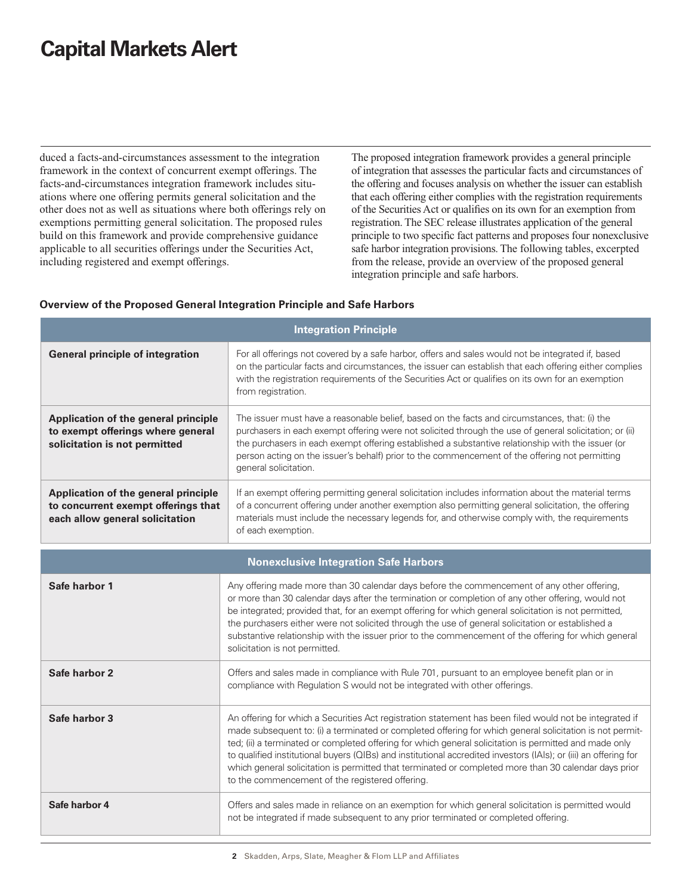# **Capital Markets Alert**

duced a facts-and-circumstances assessment to the integration framework in the context of concurrent exempt offerings. The facts-and-circumstances integration framework includes situations where one offering permits general solicitation and the other does not as well as situations where both offerings rely on exemptions permitting general solicitation. The proposed rules build on this framework and provide comprehensive guidance applicable to all securities offerings under the Securities Act, including registered and exempt offerings.

The proposed integration framework provides a general principle of integration that assesses the particular facts and circumstances of the offering and focuses analysis on whether the issuer can establish that each offering either complies with the registration requirements of the Securities Act or qualifies on its own for an exemption from registration. The SEC release illustrates application of the general principle to two specific fact patterns and proposes four nonexclusive safe harbor integration provisions. The following tables, excerpted from the release, provide an overview of the proposed general integration principle and safe harbors.

| <b>Integration Principle</b>                                                                                   |                                                                                                                                                                                                                                                                                                                                                                                                                                                                                                                                                                                                               |
|----------------------------------------------------------------------------------------------------------------|---------------------------------------------------------------------------------------------------------------------------------------------------------------------------------------------------------------------------------------------------------------------------------------------------------------------------------------------------------------------------------------------------------------------------------------------------------------------------------------------------------------------------------------------------------------------------------------------------------------|
| <b>General principle of integration</b>                                                                        | For all offerings not covered by a safe harbor, offers and sales would not be integrated if, based<br>on the particular facts and circumstances, the issuer can establish that each offering either complies<br>with the registration requirements of the Securities Act or qualifies on its own for an exemption<br>from registration.                                                                                                                                                                                                                                                                       |
| Application of the general principle<br>to exempt offerings where general<br>solicitation is not permitted     | The issuer must have a reasonable belief, based on the facts and circumstances, that: (i) the<br>purchasers in each exempt offering were not solicited through the use of general solicitation; or (ii)<br>the purchasers in each exempt offering established a substantive relationship with the issuer (or<br>person acting on the issuer's behalf) prior to the commencement of the offering not permitting<br>general solicitation.                                                                                                                                                                       |
| Application of the general principle<br>to concurrent exempt offerings that<br>each allow general solicitation | If an exempt offering permitting general solicitation includes information about the material terms<br>of a concurrent offering under another exemption also permitting general solicitation, the offering<br>materials must include the necessary legends for, and otherwise comply with, the requirements<br>of each exemption.                                                                                                                                                                                                                                                                             |
| <b>Nonexclusive Integration Safe Harbors</b>                                                                   |                                                                                                                                                                                                                                                                                                                                                                                                                                                                                                                                                                                                               |
| Safe harbor 1                                                                                                  | Any offering made more than 30 calendar days before the commencement of any other offering,<br>or more than 30 calendar days after the termination or completion of any other offering, would not<br>be integrated; provided that, for an exempt offering for which general solicitation is not permitted,<br>the purchasers either were not solicited through the use of general solicitation or established a<br>substantive relationship with the issuer prior to the commencement of the offering for which general<br>solicitation is not permitted.                                                     |
| Safe harbor 2                                                                                                  | Offers and sales made in compliance with Rule 701, pursuant to an employee benefit plan or in<br>compliance with Regulation S would not be integrated with other offerings.                                                                                                                                                                                                                                                                                                                                                                                                                                   |
| Safe harbor 3                                                                                                  | An offering for which a Securities Act registration statement has been filed would not be integrated if<br>made subsequent to: (i) a terminated or completed offering for which general solicitation is not permit-<br>ted; (ii) a terminated or completed offering for which general solicitation is permitted and made only<br>to qualified institutional buyers (QIBs) and institutional accredited investors (IAIs); or (iii) an offering for<br>which general solicitation is permitted that terminated or completed more than 30 calendar days prior<br>to the commencement of the registered offering. |
| Safe harbor 4                                                                                                  | Offers and sales made in reliance on an exemption for which general solicitation is permitted would<br>not be integrated if made subsequent to any prior terminated or completed offering.                                                                                                                                                                                                                                                                                                                                                                                                                    |

#### **Overview of the Proposed General Integration Principle and Safe Harbors**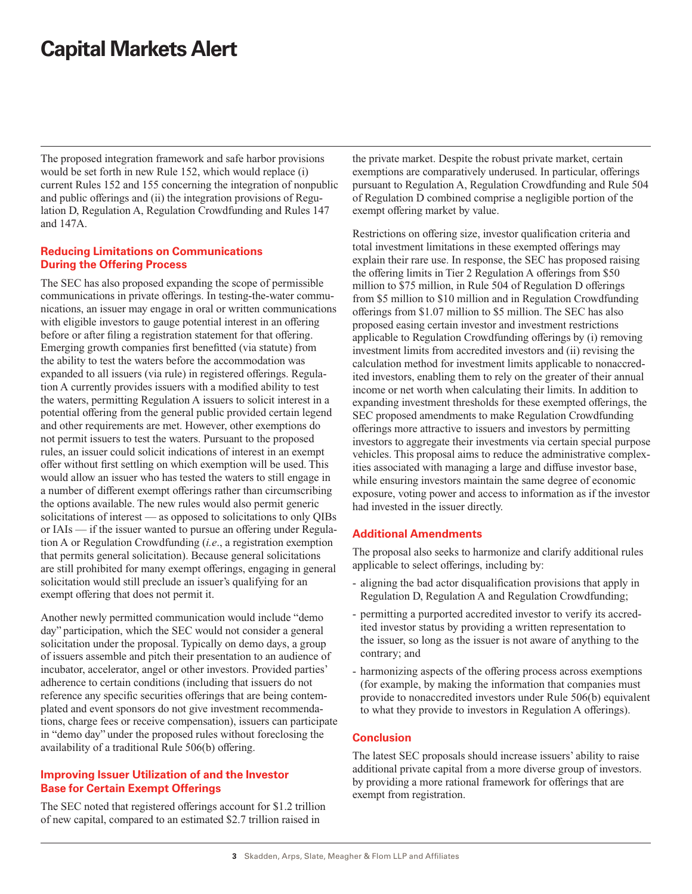## **Capital Markets Alert**

The proposed integration framework and safe harbor provisions would be set forth in new Rule 152, which would replace (i) current Rules 152 and 155 concerning the integration of nonpublic and public offerings and (ii) the integration provisions of Regulation D, Regulation A, Regulation Crowdfunding and Rules 147 and 147A.

#### **Reducing Limitations on Communications During the Offering Process**

The SEC has also proposed expanding the scope of permissible communications in private offerings. In testing-the-water communications, an issuer may engage in oral or written communications with eligible investors to gauge potential interest in an offering before or after filing a registration statement for that offering. Emerging growth companies first benefitted (via statute) from the ability to test the waters before the accommodation was expanded to all issuers (via rule) in registered offerings. Regulation A currently provides issuers with a modified ability to test the waters, permitting Regulation A issuers to solicit interest in a potential offering from the general public provided certain legend and other requirements are met. However, other exemptions do not permit issuers to test the waters. Pursuant to the proposed rules, an issuer could solicit indications of interest in an exempt offer without first settling on which exemption will be used. This would allow an issuer who has tested the waters to still engage in a number of different exempt offerings rather than circumscribing the options available. The new rules would also permit generic solicitations of interest — as opposed to solicitations to only QIBs or IAIs — if the issuer wanted to pursue an offering under Regulation A or Regulation Crowdfunding (*i.e*., a registration exemption that permits general solicitation). Because general solicitations are still prohibited for many exempt offerings, engaging in general solicitation would still preclude an issuer's qualifying for an exempt offering that does not permit it.

Another newly permitted communication would include "demo day" participation, which the SEC would not consider a general solicitation under the proposal. Typically on demo days, a group of issuers assemble and pitch their presentation to an audience of incubator, accelerator, angel or other investors. Provided parties' adherence to certain conditions (including that issuers do not reference any specific securities offerings that are being contemplated and event sponsors do not give investment recommendations, charge fees or receive compensation), issuers can participate in "demo day" under the proposed rules without foreclosing the availability of a traditional Rule 506(b) offering.

#### **Improving Issuer Utilization of and the Investor Base for Certain Exempt Offerings**

The SEC noted that registered offerings account for \$1.2 trillion of new capital, compared to an estimated \$2.7 trillion raised in

the private market. Despite the robust private market, certain exemptions are comparatively underused. In particular, offerings pursuant to Regulation A, Regulation Crowdfunding and Rule 504 of Regulation D combined comprise a negligible portion of the exempt offering market by value.

Restrictions on offering size, investor qualification criteria and total investment limitations in these exempted offerings may explain their rare use. In response, the SEC has proposed raising the offering limits in Tier 2 Regulation A offerings from \$50 million to \$75 million, in Rule 504 of Regulation D offerings from \$5 million to \$10 million and in Regulation Crowdfunding offerings from \$1.07 million to \$5 million. The SEC has also proposed easing certain investor and investment restrictions applicable to Regulation Crowdfunding offerings by (i) removing investment limits from accredited investors and (ii) revising the calculation method for investment limits applicable to nonaccredited investors, enabling them to rely on the greater of their annual income or net worth when calculating their limits. In addition to expanding investment thresholds for these exempted offerings, the SEC proposed amendments to make Regulation Crowdfunding offerings more attractive to issuers and investors by permitting investors to aggregate their investments via certain special purpose vehicles. This proposal aims to reduce the administrative complexities associated with managing a large and diffuse investor base, while ensuring investors maintain the same degree of economic exposure, voting power and access to information as if the investor had invested in the issuer directly.

#### **Additional Amendments**

The proposal also seeks to harmonize and clarify additional rules applicable to select offerings, including by:

- aligning the bad actor disqualification provisions that apply in Regulation D, Regulation A and Regulation Crowdfunding;
- permitting a purported accredited investor to verify its accredited investor status by providing a written representation to the issuer, so long as the issuer is not aware of anything to the contrary; and
- harmonizing aspects of the offering process across exemptions (for example, by making the information that companies must provide to nonaccredited investors under Rule 506(b) equivalent to what they provide to investors in Regulation A offerings).

#### **Conclusion**

The latest SEC proposals should increase issuers' ability to raise additional private capital from a more diverse group of investors. by providing a more rational framework for offerings that are exempt from registration.